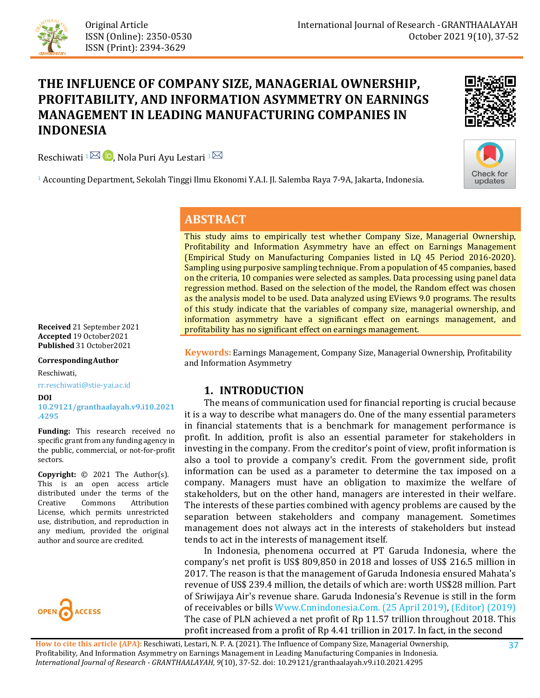

# **THE INFLUENCE OF COMPANY SIZE, MANAGERIAL OWNERSHIP, PROFITABILITY, AND INFORMATION ASYMMETRY ON EARNINGS MANAGEMENT IN LEADING MANUFACTURING COMPANIES IN INDONESIA**

Reschiwati  $1^{\boxtimes}$  D[,](https://orcid.org/0000-0002-8801-6562) Nola Puri Ayu Lestari  $1^{\boxtimes}$ 





<sup>1</sup> Accounting Department, Sekolah Tinggi Ilmu Ekonomi Y.A.I. Jl. Salemba Raya 7-9A, Jakarta, Indonesia.

## **ABSTRACT**

This study aims to empirically test whether Company Size, Managerial Ownership, Profitability and Information Asymmetry have an effect on Earnings Management (Empirical Study on Manufacturing Companies listed in LQ 45 Period 2016-2020). Sampling using purposive sampling technique. From a population of 45 companies, based on the criteria, 10 companies were selected as samples. Data processing using panel data regression method. Based on the selection of the model, the Random effect was chosen as the analysis model to be used. Data analyzed using EViews 9.0 programs. The results of this study indicate that the variables of company size, managerial ownership, and information asymmetry have a significant effect on earnings management, and profitability has no significant effect on earnings management.

**Keywords:** Earnings Management, Company Size, Managerial Ownership, Profitability and Information Asymmetry

### **1. INTRODUCTION**

 The means of communication used for financial reporting is crucial because it is a way to describe what managers do. One of the many essential parameters in financial statements that is a benchmark for management performance is profit. In addition, profit is also an essential parameter for stakeholders in investing in the company. From the creditor's point of view, profit information is also a tool to provide a company's credit. From the government side, profit information can be used as a parameter to determine the tax imposed on a company. Managers must have an obligation to maximize the welfare of stakeholders, but on the other hand, managers are interested in their welfare. The interests of these parties combined with agency problems are caused by the separation between stakeholders and company management. Sometimes management does not always act in the interests of stakeholders but instead tends to act in the interests of management itself.

 In Indonesia, phenomena occurred at PT Garuda Indonesia, where the company's net profit is US\$ 809,850 in 2018 and losses of US\$ 216.5 million in 2017. The reason is that the management of Garuda Indonesia ensured Mahata's revenue of US\$ 239.4 million, the details of which are: worth US\$28 million. Part of Sriwijaya Air's revenue share. Garuda Indonesia's Revenue is still in the form of receivables or bills [Www.Cnnindonesia.Com. \(25 April 2019\),](#page-15-0) [\(Editor\) \(2019\)](#page-14-0) The case of PLN achieved a net profit of Rp 11.57 trillion throughout 2018. This profit increased from a profit of Rp 4.41 trillion in 2017. In fact, in the second

**Received** 21 September 2021 **Accepted** 19 October2021 **Published** 31 October2021

**CorrespondingAuthor**

Reschiwati,

rr.reschiwati@stie-yai.ac.id

#### **DOI**

**[10.29121/granthaalayah.v9.i10.2021](https://dx.doi.org/10.29121/granthaalayah.v9.i10.2021.4295) [.4295](https://dx.doi.org/10.29121/granthaalayah.v9.i10.2021.4295)**

**Funding:** This research received no specific grant from any funding agency in the public, commercial, or not-for-profit sectors.

**Copyright:** © 2021 The Author(s). This is an open access article distributed under the terms of the<br>Creative Commons Attribution Attribution License, which permits unrestricted use, distribution, and reproduction in any medium, provided the original author and source are credited.

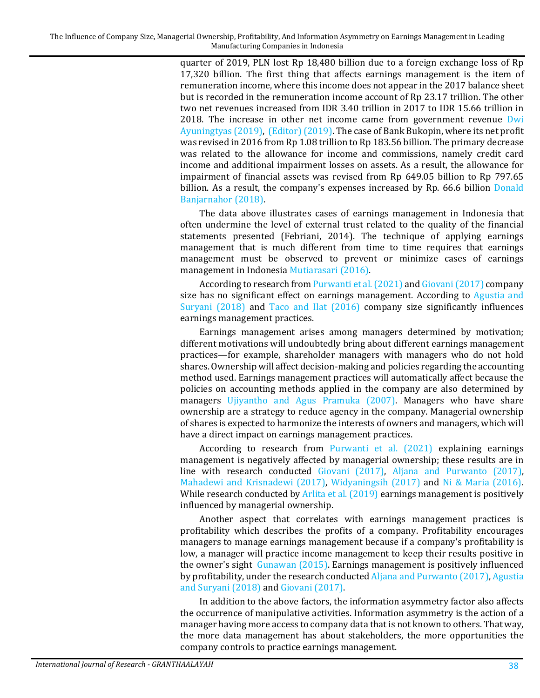quarter of 2019, PLN lost Rp 18,480 billion due to a foreign exchange loss of Rp 17,320 billion. The first thing that affects earnings management is the item of remuneration income, where this income does not appear in the 2017 balance sheet but is recorded in the remuneration income account of Rp 23.17 trillion. The other two net revenues increased from IDR 3.40 trillion in 2017 to IDR 15.66 trillion in 2018. The increase in other net income came from government revenue [Dwi](#page-13-0)  [Ayuningtyas \(2019\),](#page-13-0) [\(Editor\) \(2019\).](#page-14-0) The case of Bank Bukopin, where its net profit was revised in 2016 from Rp 1.08 trillion to Rp 183.56 billion. The primary decrease was related to the allowance for income and commissions, namely credit card income and additional impairment losses on assets. As a result, the allowance for impairment of financial assets was revised from Rp 649.05 billion to Rp 797.65 billion. As a result, the company's expenses increased by Rp. 66.6 billion [Donald](#page-13-1)  [Banjarnahor \(2018\).](#page-13-1)

The data above illustrates cases of earnings management in Indonesia that often undermine the level of external trust related to the quality of the financial statements presented (Febriani, 2014). The technique of applying earnings management that is much different from time to time requires that earnings management must be observed to prevent or minimize cases of earnings management in Indonesia [Mutiarasari \(2016\).](#page-14-1)

According to research fro[m Purwanti et al. \(2021\)](#page-14-2) an[d Giovani \(2017\)](#page-14-3) company size has no significant effect on earnings management. According to [Agustia and](#page-13-2)  [Suryani \(2018\)](#page-13-2) and [Taco and Ilat \(2016\)](#page-15-1) company size significantly influences earnings management practices.

Earnings management arises among managers determined by motivation; different motivations will undoubtedly bring about different earnings management practices—for example, shareholder managers with managers who do not hold shares. Ownership will affect decision-making and policies regarding the accounting method used. Earnings management practices will automatically affect because the policies on accounting methods applied in the company are also determined by managers [Ujiyantho and Agus Pramuka \(2007\).](#page-15-2) Managers who have share ownership are a strategy to reduce agency in the company. Managerial ownership of shares is expected to harmonize the interests of owners and managers, which will have a direct impact on earnings management practices.

According to research from [Purwanti et al. \(2021\)](#page-14-2) explaining earnings management is negatively affected by managerial ownership; these results are in line with research conducted [Giovani \(2017\),](#page-14-3) [Aljana and Purwanto \(2017\),](#page-13-3) [Mahadewi and Krisnadewi \(2017\),](#page-14-4) [Widyaningsih \(2017\)](#page-15-3) and [Ni & Maria \(2016\).](#page-14-5) While research conducted by [Arlita et al. \(2019\)](#page-13-4) earnings management is positively influenced by managerial ownership.

Another aspect that correlates with earnings management practices is profitability which describes the profits of a company. Profitability encourages managers to manage earnings management because if a company's profitability is low, a manager will practice income management to keep their results positive in the owner's sight [Gunawan \(2015\).](#page-14-0) Earnings management is positively influenced by profitability, under the research conducte[d Aljana and Purwanto \(2017\),](#page-13-3) [Agustia](#page-13-2)  [and Suryani](#page-13-2) (2018) an[d Giovani \(2017\).](#page-14-3) 

In addition to the above factors, the information asymmetry factor also affects the occurrence of manipulative activities. Information asymmetry is the action of a manager having more access to company data that is not known to others. That way, the more data management has about stakeholders, the more opportunities the company controls to practice earnings management.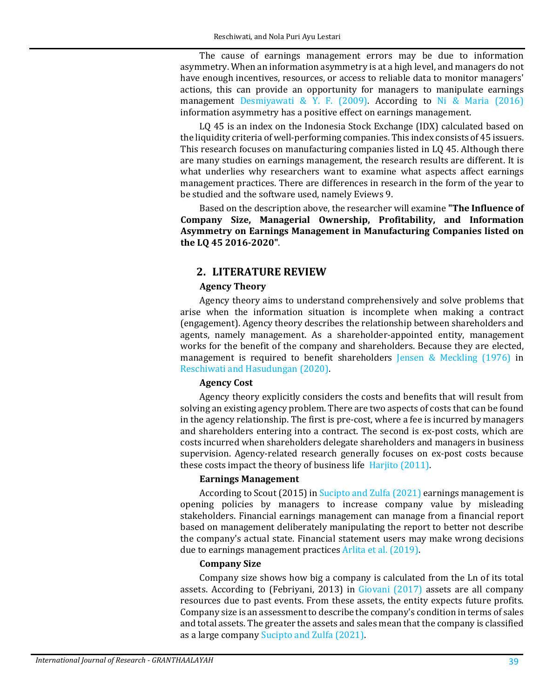The cause of earnings management errors may be due to information asymmetry. When an information asymmetry is at a high level, and managers do not have enough incentives, resources, or access to reliable data to monitor managers' actions, this can provide an opportunity for managers to manipulate earnings management [Desmiyawati & Y. F. \(2009\).](#page-13-5) According to [Ni & Maria \(2016\)](#page-14-5) information asymmetry has a positive effect on earnings management.

LQ 45 is an index on the Indonesia Stock Exchange (IDX) calculated based on the liquidity criteria of well-performing companies. This index consists of 45 issuers. This research focuses on manufacturing companies listed in LQ 45. Although there are many studies on earnings management, the research results are different. It is what underlies why researchers want to examine what aspects affect earnings management practices. There are differences in research in the form of the year to be studied and the software used, namely Eviews 9.

Based on the description above, the researcher will examine **"The Influence of Company Size, Managerial Ownership, Profitability, and Information Asymmetry on Earnings Management in Manufacturing Companies listed on the LQ 45 2016-2020"**.

### **2. LITERATURE REVIEW**

#### **Agency Theory**

Agency theory aims to understand comprehensively and solve problems that arise when the information situation is incomplete when making a contract (engagement). Agency theory describes the relationship between shareholders and agents, namely management. As a shareholder-appointed entity, management works for the benefit of the company and shareholders. Because they are elected, management is required to benefit shareholders [Jensen & Meckling \(1976\)](#page-14-6) in [Reschiwati and Hasudungan \(2020\).](#page-14-7)

### **Agency Cost**

Agency theory explicitly considers the costs and benefits that will result from solving an existing agency problem. There are two aspects of costs that can be found in the agency relationship. The first is pre-cost, where a fee is incurred by managers and shareholders entering into a contract. The second is ex-post costs, which are costs incurred when shareholders delegate shareholders and managers in business supervision. Agency-related research generally focuses on ex-post costs because these costs impact the theory of business lif[e Harjito \(2011\).](#page-14-8)

#### **Earnings Management**

According to Scout (2015) i[n Sucipto and Zulfa \(2021\)](#page-14-9) earnings management is opening policies by managers to increase company value by misleading stakeholders. Financial earnings management can manage from a financial report based on management deliberately manipulating the report to better not describe the company's actual state. Financial statement users may make wrong decisions due to earnings management practice[s Arlita et al. \(2019\).](#page-13-4)

#### **Company Size**

Company size shows how big a company is calculated from the Ln of its total assets. According to (Febriyani, 2013) in [Giovani \(2017\)](#page-14-3) assets are all company resources due to past events. From these assets, the entity expects future profits. Company size is an assessment to describe the company's condition in terms of sales and total assets. The greater the assets and sales mean that the company is classified as a large compan[y Sucipto and Zulfa \(2021\).](#page-14-9)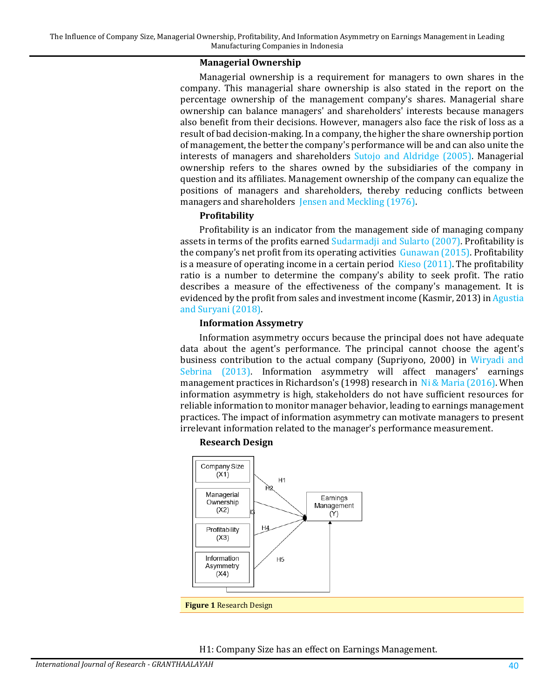#### **Managerial Ownership**

Managerial ownership is a requirement for managers to own shares in the company. This managerial share ownership is also stated in the report on the percentage ownership of the management company's shares. Managerial share ownership can balance managers' and shareholders' interests because managers also benefit from their decisions. However, managers also face the risk of loss as a result of bad decision-making. In a company, the higher the share ownership portion of management, the better the company's performance will be and can also unite the interests of managers and shareholders [Sutojo and Aldridge \(2005\).](#page-15-4) Managerial ownership refers to the shares owned by the subsidiaries of the company in question and its affiliates. Management ownership of the company can equalize the positions of managers and shareholders, thereby reducing conflicts between managers and shareholder[s Jensen and Meckling \(1976\).](#page-14-6)

### **Profitability**

Profitability is an indicator from the management side of managing company assets in terms of the profits earned [Sudarmadji and Sularto \(2007\).](#page-15-5) Profitability is the company's net profit from its operating activities [Gunawan \(2015\).](#page-14-0) Profitability is a measure of operating income in a certain perio[d Kieso \(2011\).](#page-14-10) The profitability ratio is a number to determine the company's ability to seek profit. The ratio describes a measure of the effectiveness of the company's management. It is evidenced by the profit from sales and investment income (Kasmir, 2013) in [Agustia](#page-13-2)  [and Suryani \(2018\).](#page-13-2)

#### **Information Assymetry**

Information asymmetry occurs because the principal does not have adequate data about the agent's performance. The principal cannot choose the agent's business contribution to the actual company (Supriyono, 2000) in [Wiryadi and](#page-15-6)  [Sebrina](#page-15-6) (2013). Information asymmetry will affect managers' earnings management practices in Richardson's (1998) research in [Ni & Maria \(2016\).](#page-14-5) When information asymmetry is high, stakeholders do not have sufficient resources for reliable information to monitor manager behavior, leading to earnings management practices. The impact of information asymmetry can motivate managers to present irrelevant information related to the manager's performance measurement.



#### **Research Design**

H1: Company Size has an effect on Earnings Management.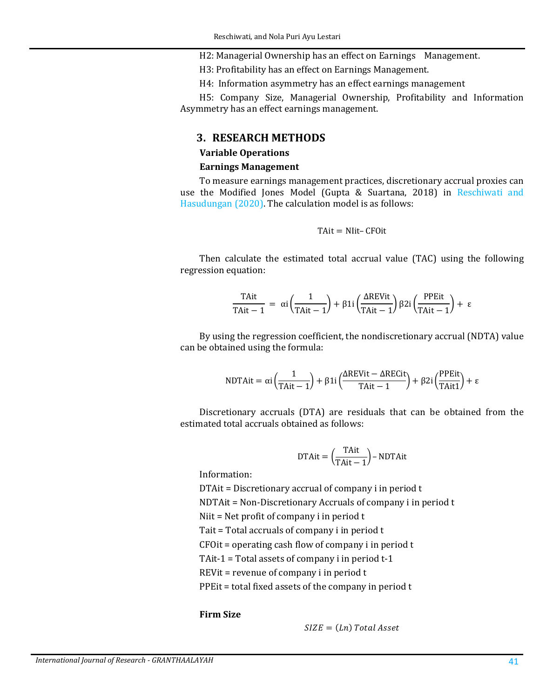H2: Managerial Ownership has an effect on Earnings Management.

H3: Profitability has an effect on Earnings Management.

H4: Information asymmetry has an effect earnings management

H5: Company Size, Managerial Ownership, Profitability and Information Asymmetry has an effect earnings management.

### **3. RESEARCH METHODS**

#### **Variable Operations**

#### **Earnings Management**

To measure earnings management practices, discretionary accrual proxies can use the Modified Jones Model (Gupta & Suartana, 2018) in [Reschiwati and](#page-14-7)  [Hasudungan \(2020\).](#page-14-7) The calculation model is as follows:

$$
T\mathrm{A}it = N\mathrm{I}it - CF0it
$$

Then calculate the estimated total accrual value (TAC) using the following regression equation:

$$
\frac{\text{TAit}}{\text{TAit} - 1} = \alpha i \left( \frac{1}{\text{TAit} - 1} \right) + \beta 1 i \left( \frac{\text{AREVit}}{\text{TAit} - 1} \right) \beta 2 i \left( \frac{\text{PPEit}}{\text{TAit} - 1} \right) + \epsilon
$$

By using the regression coefficient, the nondiscretionary accrual (NDTA) value can be obtained using the formula:

$$
NDTAit = \alpha i \left(\frac{1}{TAit - 1}\right) + \beta 1 i \left(\frac{\Delta REVit - \Delta RECit}{TAit - 1}\right) + \beta 2 i \left(\frac{PPEit}{TAit1}\right) + \epsilon
$$

Discretionary accruals (DTA) are residuals that can be obtained from the estimated total accruals obtained as follows:

DTAit = 
$$
\left(\frac{\text{TAit}}{\text{TAit} - 1}\right)
$$
 - NDTAit

Information:

DTAit = Discretionary accrual of company i in period t

NDTAit = Non-Discretionary Accruals of company i in period t

Niit = Net profit of company i in period t

Tait = Total accruals of company i in period t

CFOit = operating cash flow of company i in period t

TAit-1 = Total assets of company i in period  $t-1$ 

REVit = revenue of company i in period t

PPEit = total fixed assets of the company in period t

### **Firm Size**

 $SIZE = (Ln) Total Asset$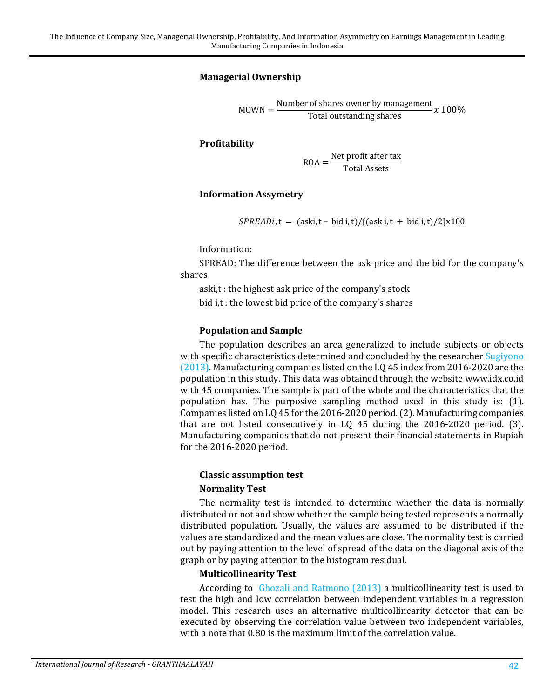#### **Managerial Ownership**

 $MOWN = \frac{Number \space of \space shares \space owner \space by \space management}{Total \space outstanding \space shares} x \space 100\%$ 

**Profitability**

 $\text{ROA} = \frac{\text{Net profit after tax}}{\text{Total Assets}}$ 

#### **Information Assymetry**

 $SPREADi, t = (aski, t - bid i, t) / {(aski, t + bid i, t) / 2}x100$ 

Information:

SPREAD: The difference between the ask price and the bid for the company's shares

aski,t : the highest ask price of the company's stock bid i,t : the lowest bid price of the company's shares

#### **Population and Sample**

The population describes an area generalized to include subjects or objects with specific characteristics determined and concluded by the researcher Sugiyono [\(2013\).](#page-15-7) Manufacturing companies listed on the LQ 45 index from 2016-2020 are the population in this study. This data was obtained through the website www.idx.co.id with 45 companies. The sample is part of the whole and the characteristics that the population has. The purposive sampling method used in this study is: (1). Companies listed on LQ 45 for the 2016-2020 period. (2). Manufacturing companies that are not listed consecutively in LQ 45 during the 2016-2020 period. (3). Manufacturing companies that do not present their financial statements in Rupiah for the 2016-2020 period.

#### **Classic assumption test**

#### **Normality Test**

The normality test is intended to determine whether the data is normally distributed or not and show whether the sample being tested represents a normally distributed population. Usually, the values are assumed to be distributed if the values are standardized and the mean values are close. The normality test is carried out by paying attention to the level of spread of the data on the diagonal axis of the graph or by paying attention to the histogram residual.

#### **Multicollinearity Test**

According to [Ghozali and Ratmono \(2013\)](#page-14-11) a multicollinearity test is used to test the high and low correlation between independent variables in a regression model. This research uses an alternative multicollinearity detector that can be executed by observing the correlation value between two independent variables, with a note that 0.80 is the maximum limit of the correlation value.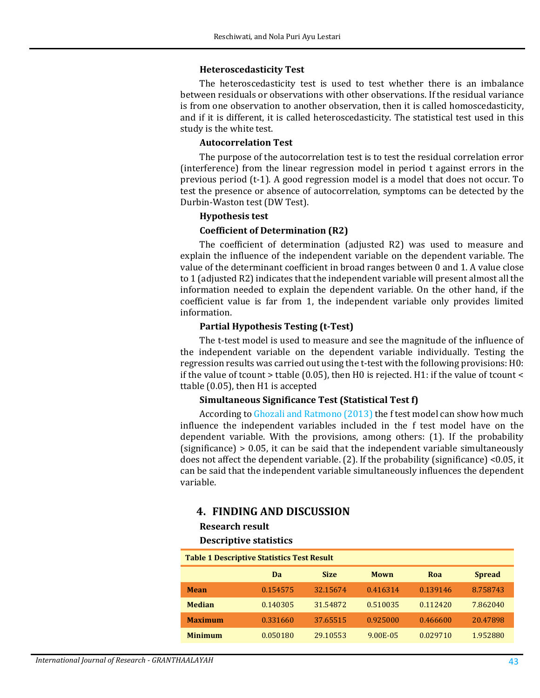#### **Heteroscedasticity Test**

The heteroscedasticity test is used to test whether there is an imbalance between residuals or observations with other observations. If the residual variance is from one observation to another observation, then it is called homoscedasticity, and if it is different, it is called heteroscedasticity. The statistical test used in this study is the white test.

#### **Autocorrelation Test**

The purpose of the autocorrelation test is to test the residual correlation error (interference) from the linear regression model in period t against errors in the previous period (t-1). A good regression model is a model that does not occur. To test the presence or absence of autocorrelation, symptoms can be detected by the Durbin-Waston test (DW Test).

#### **Hypothesis test**

### **Coefficient of Determination (R2)**

The coefficient of determination (adjusted R2) was used to measure and explain the influence of the independent variable on the dependent variable. The value of the determinant coefficient in broad ranges between 0 and 1. A value close to 1 (adjusted R2) indicates that the independent variable will present almost all the information needed to explain the dependent variable. On the other hand, if the coefficient value is far from 1, the independent variable only provides limited information.

#### **Partial Hypothesis Testing (t-Test)**

The t-test model is used to measure and see the magnitude of the influence of the independent variable on the dependent variable individually. Testing the regression results was carried out using the t-test with the following provisions: H0: if the value of tcount > ttable (0.05), then H0 is rejected. H1: if the value of tcount < ttable (0.05), then H1 is accepted

#### **Simultaneous Significance Test (Statistical Test f)**

According to Ghozali and Ratmono (2013) the f test model can show how much influence the independent variables included in the f test model have on the dependent variable. With the provisions, among others: (1). If the probability (significance) > 0.05, it can be said that the independent variable simultaneously does not affect the dependent variable. (2). If the probability (significance) <0.05, it can be said that the independent variable simultaneously influences the dependent variable.

### **4. FINDING AND DISCUSSION**

#### **Research result**

#### **Descriptive statistics**

<span id="page-6-0"></span>

| <b>Table 1 Descriptive Statistics Test Result</b> |          |             |          |          |               |
|---------------------------------------------------|----------|-------------|----------|----------|---------------|
|                                                   | Da       | <b>Size</b> | Mown     | Roa      | <b>Spread</b> |
| <b>Mean</b>                                       | 0.154575 | 32.15674    | 0.416314 | 0.139146 | 8.758743      |
| <b>Median</b>                                     | 0.140305 | 31.54872    | 0.510035 | 0.112420 | 7.862040      |
| <b>Maximum</b>                                    | 0.331660 | 37.65515    | 0.925000 | 0.466600 | 20.47898      |
| <b>Minimum</b>                                    | 0.050180 | 29.10553    | 9.00E-05 | 0.029710 | 1.952880      |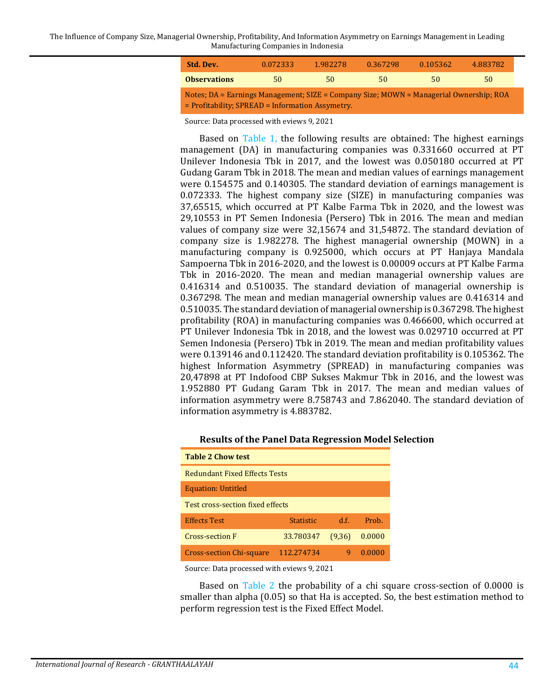The Influence of Company Size, Managerial Ownership, Profitability, And Information Asymmetry on Earnings Management in Leading Manufacturing Companies in Indonesia

| Std. Dev.                                                                                                                                  | 0.072333 | 1.982278 | 0.367298 | 0.105362 | 4.883782 |
|--------------------------------------------------------------------------------------------------------------------------------------------|----------|----------|----------|----------|----------|
| <b>Observations</b>                                                                                                                        | 50       | 50       | 50       | 50       | 50       |
| Notes; DA = Earnings Management; SIZE = Company Size; MOWN = Managerial Ownership; ROA<br>= Profitability; SPREAD = Information Assymetry. |          |          |          |          |          |

Source: Data processed with eviews 9, 2021

Based on [Table 1,](#page-6-0) the following results are obtained: The highest earnings management (DA) in manufacturing companies was 0.331660 occurred at PT Unilever Indonesia Tbk in 2017, and the lowest was 0.050180 occurred at PT Gudang Garam Tbk in 2018. The mean and median values of earnings management were 0.154575 and 0.140305. The standard deviation of earnings management is 0.072333. The highest company size (SIZE) in manufacturing companies was 37,65515, which occurred at PT Kalbe Farma Tbk in 2020, and the lowest was 29,10553 in PT Semen Indonesia (Persero) Tbk in 2016. The mean and median values of company size were 32,15674 and 31,54872. The standard deviation of company size is 1.982278. The highest managerial ownership (MOWN) in a manufacturing company is 0.925000, which occurs at PT Hanjaya Mandala Sampoerna Tbk in 2016-2020, and the lowest is 0.00009 occurs at PT Kalbe Farma Tbk in 2016-2020. The mean and median managerial ownership values are 0.416314 and 0.510035. The standard deviation of managerial ownership is 0.367298. The mean and median managerial ownership values are 0.416314 and 0.510035. The standard deviation of managerial ownership is 0.367298. The highest profitability (ROA) in manufacturing companies was 0.466600, which occurred at PT Unilever Indonesia Tbk in 2018, and the lowest was 0.029710 occurred at PT Semen Indonesia (Persero) Tbk in 2019. The mean and median profitability values were 0.139146 and 0.112420. The standard deviation profitability is 0.105362. The highest Information Asymmetry (SPREAD) in manufacturing companies was 20,47898 at PT Indofood CBP Sukses Makmur Tbk in 2016, and the lowest was 1.952880 PT Gudang Garam Tbk in 2017. The mean and median values of information asymmetry were 8.758743 and 7.862040. The standard deviation of information asymmetry is 4.883782.

| Table 2 Chow test                                |                  |      |        |  |  |
|--------------------------------------------------|------------------|------|--------|--|--|
| <b>Redundant Fixed Effects Tests</b>             |                  |      |        |  |  |
| <b>Equation: Untitled</b>                        |                  |      |        |  |  |
| <b>Test cross-section fixed effects</b>          |                  |      |        |  |  |
| <b>Effects Test</b>                              | <b>Statistic</b> | d.f. | Prob.  |  |  |
| 33.780347<br>0.0000<br>Cross-section F<br>(9,36) |                  |      |        |  |  |
| <b>Cross-section Chi-square</b>                  | 112.274734       |      | 0.0000 |  |  |

#### **Results of the Panel Data Regression Model Selection**

Source: Data processed with eviews 9, 2021

<span id="page-7-0"></span>**Table 2 Chow test**

Based on [Table 2](#page-7-0) the probability of a chi square cross-section of 0.0000 is smaller than alpha (0.05) so that Ha is accepted. So, the best estimation method to perform regression test is the Fixed Effect Model.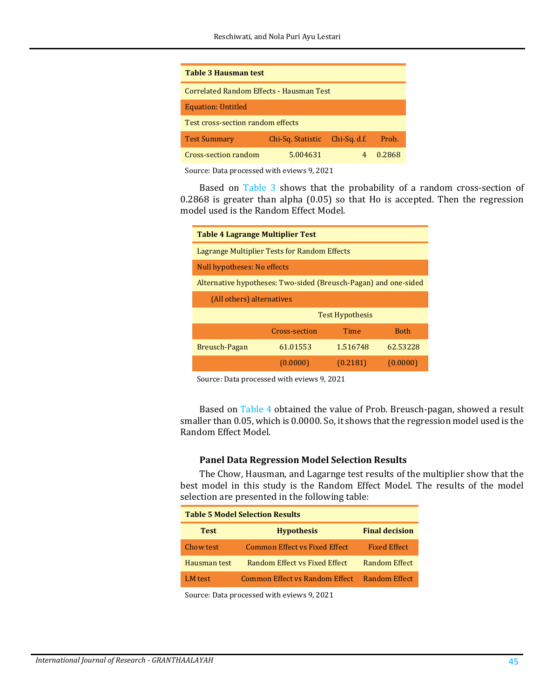<span id="page-8-0"></span>

| Table 3 Hausman test                                              |  |  |  |  |
|-------------------------------------------------------------------|--|--|--|--|
| Correlated Random Effects - Hausman Test                          |  |  |  |  |
| <b>Equation: Untitled</b>                                         |  |  |  |  |
| Test cross-section random effects                                 |  |  |  |  |
| Prob.<br><b>Test Summary</b><br>Chi-Sa. d.f.<br>Chi-Sq. Statistic |  |  |  |  |
| Cross-section random<br>5.004631<br>0.2868                        |  |  |  |  |

Source: Data processed with eviews 9, 2021

Based on [Table 3](#page-8-0) shows that the probability of a random cross-section of 0.2868 is greater than alpha (0.05) so that Ho is accepted. Then the regression model used is the Random Effect Model.

<span id="page-8-1"></span>

| <b>Table 4 Lagrange Multiplier Test</b>                         |                             |          |             |  |
|-----------------------------------------------------------------|-----------------------------|----------|-------------|--|
| Lagrange Multiplier Tests for Random Effects                    |                             |          |             |  |
|                                                                 | Null hypotheses: No effects |          |             |  |
| Alternative hypotheses: Two-sided (Breusch-Pagan) and one-sided |                             |          |             |  |
| (All others) alternatives                                       |                             |          |             |  |
|                                                                 | <b>Test Hypothesis</b>      |          |             |  |
|                                                                 | Cross-section               | Time     | <b>Both</b> |  |
| Breusch-Pagan                                                   | 61.01553                    | 1.516748 | 62.53228    |  |
|                                                                 | (0.0000)                    | (0.2181) | (0.0000)    |  |

Source: Data processed with eviews 9, 2021

Based on [Table 4](#page-8-1) obtained the value of Prob. Breusch-pagan, showed a result smaller than 0.05, which is 0.0000. So, it shows that the regression model used is the Random Effect Model.

#### **Panel Data Regression Model Selection Results**

The Chow, Hausman, and Lagarnge test results of the multiplier show that the best model in this study is the Random Effect Model. The results of the model selection are presented in the following table:

| <b>Table 5 Model Selection Results</b> |                                |                       |  |
|----------------------------------------|--------------------------------|-----------------------|--|
| <b>Test</b>                            | <b>Hypothesis</b>              | <b>Final decision</b> |  |
| Chow test                              | Common Effect vs Fixed Effect  | <b>Fixed Effect</b>   |  |
| Hausman test                           | Random Effect vs Fixed Effect  | Random Effect         |  |
| LM test                                | Common Effect vs Random Effect | Random Effect         |  |

Source: Data processed with eviews 9, 2021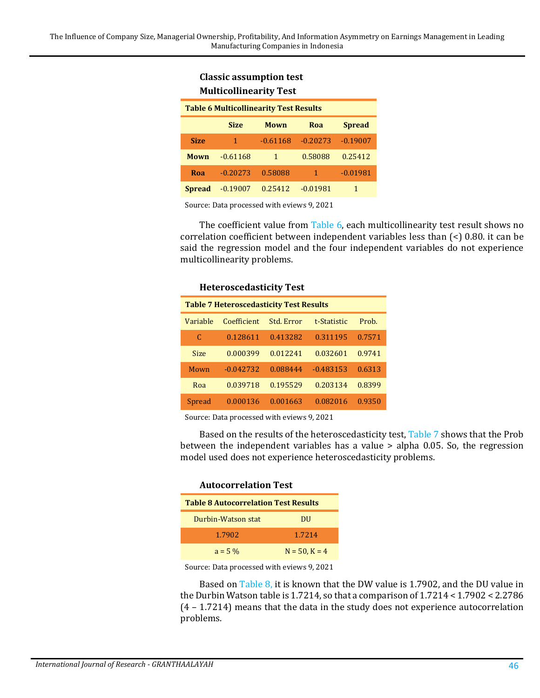### **Classic assumption test Multicollinearity Test**

<span id="page-9-0"></span>

| <b>Table 6 Multicollinearity Test Results</b> |                                             |            |            |            |  |  |
|-----------------------------------------------|---------------------------------------------|------------|------------|------------|--|--|
|                                               | <b>Spread</b><br><b>Size</b><br>Mown<br>Roa |            |            |            |  |  |
| <b>Size</b>                                   | $\mathbf{1}$                                | $-0.61168$ | $-0.20273$ | $-0.19007$ |  |  |
| Mown                                          | $-0.61168$                                  | 1          | 0.58088    | 0.25412    |  |  |
| Roa                                           | $-0.20273$                                  | 0.58088    | 1          | $-0.01981$ |  |  |
| <b>Spread</b>                                 | $-0.19007$                                  | 0.25412    | $-0.01981$ | 1          |  |  |

Source: Data processed with eviews 9, 2021

**Heteroscedasticity Test**

The coefficient value from [Table 6,](#page-9-0) each multicollinearity test result shows no correlation coefficient between independent variables less than (<) 0.80. it can be said the regression model and the four independent variables do not experience multicollinearity problems.

<span id="page-9-1"></span>

| HELEI USCEUASLICITY TEST                       |            |             |        |  |  |
|------------------------------------------------|------------|-------------|--------|--|--|
| <b>Table 7 Heteroscedasticity Test Results</b> |            |             |        |  |  |
| Coefficient                                    | Std. Error | t-Statistic | Prob.  |  |  |
| 0.128611                                       | 0.413282   | 0.311195    | 0.7571 |  |  |
| 0.000399                                       | 0.012241   | 0.032601    | 0.9741 |  |  |
| $-0.042732$                                    | 0.088444   | $-0.483153$ | 0.6313 |  |  |
| 0.039718                                       | 0.195529   | 0.203134    | 0.8399 |  |  |
| 0.000136                                       | 0.001663   | 0.082016    | 0.9350 |  |  |
|                                                |            |             |        |  |  |

Source: Data processed with eviews 9, 2021

Based on the results of the heteroscedasticity test, [Table 7](#page-9-1) shows that the Prob between the independent variables has a value > alpha 0.05. So, the regression model used does not experience heteroscedasticity problems.

<span id="page-9-2"></span>

| <b>Autocorrelation Test</b>                 |                    |  |  |
|---------------------------------------------|--------------------|--|--|
| <b>Table 8 Autocorrelation Test Results</b> |                    |  |  |
| Durbin-Watson stat                          | DU                 |  |  |
| 1.7902                                      | 1 7214             |  |  |
| $a = 5\%$                                   | $N = 50$ , $K = 4$ |  |  |

Source: Data processed with eviews 9, 2021

Based on [Table 8,](#page-9-2) it is known that the DW value is 1.7902, and the DU value in the Durbin Watson table is 1.7214, so that a comparison of 1.7214 < 1.7902 < 2.2786 (4 – 1.7214) means that the data in the study does not experience autocorrelation problems.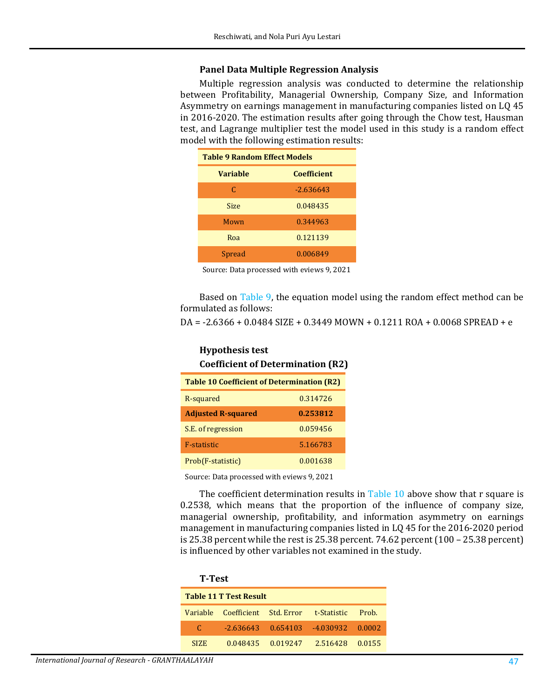#### **Panel Data Multiple Regression Analysis**

Multiple regression analysis was conducted to determine the relationship between Profitability, Managerial Ownership, Company Size, and Information Asymmetry on earnings management in manufacturing companies listed on LQ 45 in 2016-2020. The estimation results after going through the Chow test, Hausman test, and Lagrange multiplier test the model used in this study is a random effect model with the following estimation results:

<span id="page-10-0"></span>

| <b>Table 9 Random Effect Models</b> |                    |  |
|-------------------------------------|--------------------|--|
| <b>Variable</b>                     | <b>Coefficient</b> |  |
| C                                   | $-2.636643$        |  |
| Size                                | 0.048435           |  |
| Mown                                | 0.344963           |  |
| Roa                                 | 0.121139           |  |
| Spread                              | 0.006849           |  |

Source: Data processed with eviews 9, 2021

Based on [Table 9,](#page-10-0) the equation model using the random effect method can be formulated as follows:

DA = -2.6366 + 0.0484 SIZE + 0.3449 MOWN + 0.1211 ROA + 0.0068 SPREAD + e

<span id="page-10-1"></span>

| <b>Hypothesis test</b><br><b>Coefficient of Determination (R2)</b> |          |  |  |
|--------------------------------------------------------------------|----------|--|--|
| <b>Table 10 Coefficient of Determination (R2)</b>                  |          |  |  |
| R-squared                                                          | 0.314726 |  |  |
| <b>Adjusted R-squared</b>                                          | 0.253812 |  |  |
| S.E. of regression                                                 | 0.059456 |  |  |
| <b>F-statistic</b>                                                 | 5.166783 |  |  |
| Prob(F-statistic)                                                  | 0.001638 |  |  |

Source: Data processed with eviews 9, 2021

The coefficient determination results in Table  $10$  above show that r square is 0.2538, which means that the proportion of the influence of company size, managerial ownership, profitability, and information asymmetry on earnings management in manufacturing companies listed in LQ 45 for the 2016-2020 period is 25.38 percent while the rest is 25.38 percent. 74.62 percent (100 – 25.38 percent) is influenced by other variables not examined in the study.

<span id="page-10-2"></span>

| <b>T-Test</b> |                                             |          |             |        |
|---------------|---------------------------------------------|----------|-------------|--------|
|               | <b>Table 11 T Test Result</b>               |          |             |        |
|               | Variable Coefficient Std. Error t-Statistic |          |             | Prob.  |
| C             | $-2.636643$ 0.654103                        |          | $-4.030932$ | 0.0002 |
| <b>SIZE</b>   | 0.048435                                    | 0.019247 | 2.516428    | 0.0155 |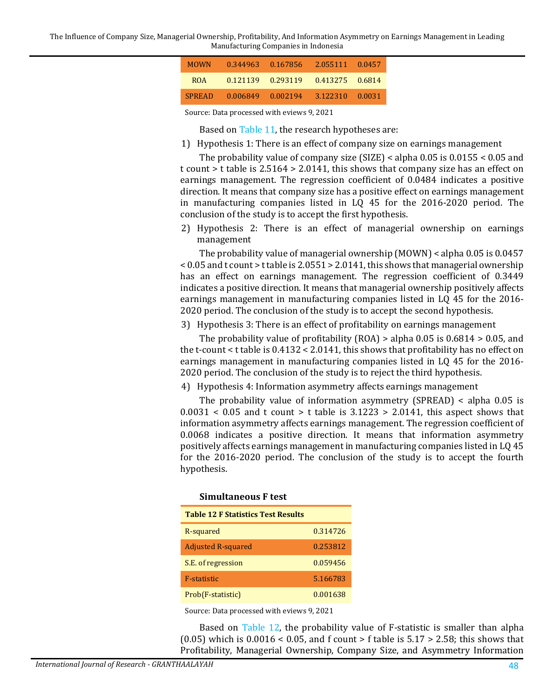The Influence of Company Size, Managerial Ownership, Profitability, And Information Asymmetry on Earnings Management in Leading Manufacturing Companies in Indonesia

| <b>MOWN</b>   | 0.344963          | -0.167856 | 2.055111        | 0.0457 |
|---------------|-------------------|-----------|-----------------|--------|
| <b>ROA</b>    | 0.121139 0.293119 |           | 0.413275 0.6814 |        |
| <b>SPREAD</b> | 0.006849          | 0.002194  | 3.122310        | 0.0031 |

Source: Data processed with eviews 9, 2021

Based on [Table 11,](#page-10-2) the research hypotheses are:

1) Hypothesis 1: There is an effect of company size on earnings management

The probability value of company size (SIZE) < alpha 0.05 is 0.0155 < 0.05 and t count > t table is 2.5164 > 2.0141, this shows that company size has an effect on earnings management. The regression coefficient of 0.0484 indicates a positive direction. It means that company size has a positive effect on earnings management in manufacturing companies listed in LQ 45 for the 2016-2020 period. The conclusion of the study is to accept the first hypothesis.

2) Hypothesis 2: There is an effect of managerial ownership on earnings management

The probability value of managerial ownership (MOWN) < alpha 0.05 is 0.0457 < 0.05 and t count > t table is 2.0551 > 2.0141, this shows that managerial ownership has an effect on earnings management. The regression coefficient of 0.3449 indicates a positive direction. It means that managerial ownership positively affects earnings management in manufacturing companies listed in LQ 45 for the 2016- 2020 period. The conclusion of the study is to accept the second hypothesis.

3) Hypothesis 3: There is an effect of profitability on earnings management

The probability value of profitability (ROA) > alpha 0.05 is 0.6814 > 0.05, and the t-count < t table is 0.4132 < 2.0141, this shows that profitability has no effect on earnings management in manufacturing companies listed in LQ 45 for the 2016- 2020 period. The conclusion of the study is to reject the third hypothesis.

4) Hypothesis 4: Information asymmetry affects earnings management

The probability value of information asymmetry (SPREAD) < alpha 0.05 is  $0.0031 < 0.05$  and t count > t table is  $3.1223 > 2.0141$ , this aspect shows that information asymmetry affects earnings management. The regression coefficient of 0.0068 indicates a positive direction. It means that information asymmetry positively affects earnings management in manufacturing companies listed in LQ 45 for the 2016-2020 period. The conclusion of the study is to accept the fourth hypothesis.

<span id="page-11-0"></span>

| Simultaneous F test                       |          |  |  |  |  |
|-------------------------------------------|----------|--|--|--|--|
| <b>Table 12 F Statistics Test Results</b> |          |  |  |  |  |
| R-squared                                 | 0.314726 |  |  |  |  |
| <b>Adjusted R-squared</b>                 | 0.253812 |  |  |  |  |
| S.E. of regression                        | 0.059456 |  |  |  |  |
| <b>F-statistic</b>                        | 5.166783 |  |  |  |  |
| Prob(F-statistic)                         | 0.001638 |  |  |  |  |

Source: Data processed with eviews 9, 2021

Based on [Table 12,](#page-11-0) the probability value of F-statistic is smaller than alpha  $(0.05)$  which is  $0.0016 < 0.05$ , and f count > f table is  $5.17 > 2.58$ ; this shows that Profitability, Managerial Ownership, Company Size, and Asymmetry Information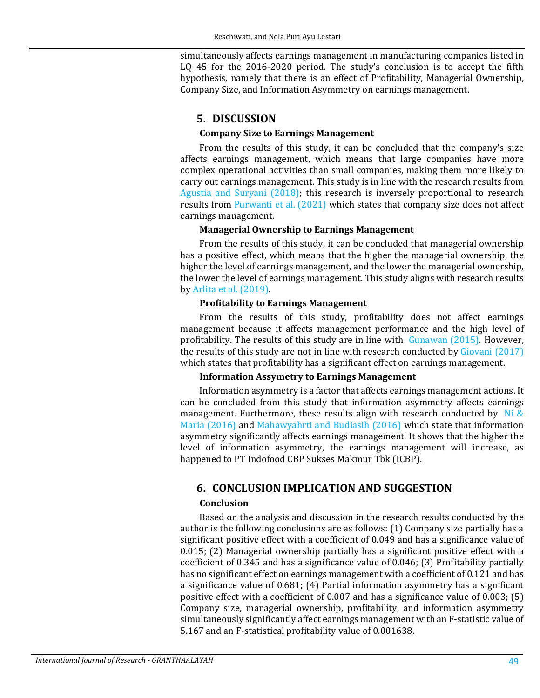simultaneously affects earnings management in manufacturing companies listed in LQ 45 for the 2016-2020 period. The study's conclusion is to accept the fifth hypothesis, namely that there is an effect of Profitability, Managerial Ownership, Company Size, and Information Asymmetry on earnings management.

## **5. DISCUSSION**

### **Company Size to Earnings Management**

From the results of this study, it can be concluded that the company's size affects earnings management, which means that large companies have more complex operational activities than small companies, making them more likely to carry out earnings management. This study is in line with the research results from [Agustia and Suryani \(2018\);](#page-13-2) this research is inversely proportional to research results from [Purwanti et al. \(2021\)](#page-14-2) which states that company size does not affect earnings management.

### **Managerial Ownership to Earnings Management**

From the results of this study, it can be concluded that managerial ownership has a positive effect, which means that the higher the managerial ownership, the higher the level of earnings management, and the lower the managerial ownership, the lower the level of earnings management. This study aligns with research results b[y Arlita et al. \(2019\).](#page-13-4)

### **Profitability to Earnings Management**

From the results of this study, profitability does not affect earnings management because it affects management performance and the high level of profitability. The results of this study are in line with [Gunawan \(2015\).](#page-14-0) However, the results of this study are not in line with research conducted by [Giovani \(2017\)](#page-14-3) which states that profitability has a significant effect on earnings management.

### **Information Assymetry to Earnings Management**

Information asymmetry is a factor that affects earnings management actions. It can be concluded from this study that information asymmetry affects earnings management. Furthermore, these results align with research conducted by Ni  $\&$ [Maria \(2016\)](#page-14-5) and [Mahawyahrti and Budiasih \(2016\)](#page-14-12) which state that information asymmetry significantly affects earnings management. It shows that the higher the level of information asymmetry, the earnings management will increase, as happened to PT Indofood CBP Sukses Makmur Tbk (ICBP).

## **6. CONCLUSION IMPLICATION AND SUGGESTION**

### **Conclusion**

Based on the analysis and discussion in the research results conducted by the author is the following conclusions are as follows: (1) Company size partially has a significant positive effect with a coefficient of 0.049 and has a significance value of 0.015; (2) Managerial ownership partially has a significant positive effect with a coefficient of 0.345 and has a significance value of 0.046; (3) Profitability partially has no significant effect on earnings management with a coefficient of 0.121 and has a significance value of 0.681; (4) Partial information asymmetry has a significant positive effect with a coefficient of 0.007 and has a significance value of 0.003; (5) Company size, managerial ownership, profitability, and information asymmetry simultaneously significantly affect earnings management with an F-statistic value of 5.167 and an F-statistical profitability value of 0.001638.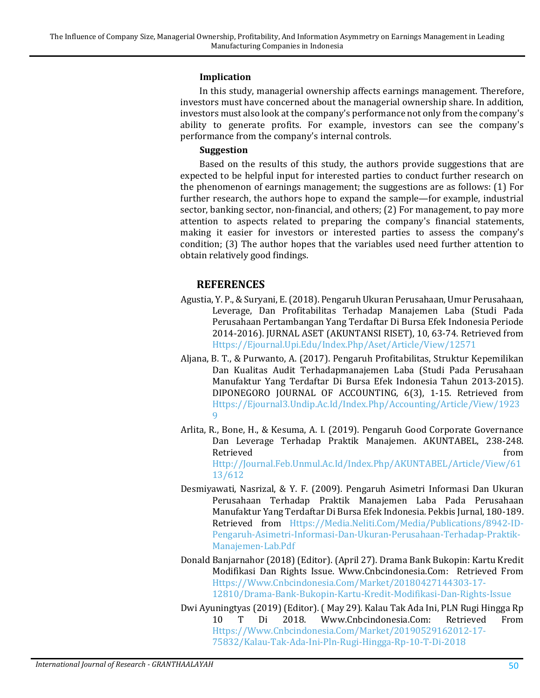#### **Implication**

In this study, managerial ownership affects earnings management. Therefore, investors must have concerned about the managerial ownership share. In addition, investors must also look at the company's performance not only from the company's ability to generate profits. For example, investors can see the company's performance from the company's internal controls.

#### **Suggestion**

Based on the results of this study, the authors provide suggestions that are expected to be helpful input for interested parties to conduct further research on the phenomenon of earnings management; the suggestions are as follows: (1) For further research, the authors hope to expand the sample—for example, industrial sector, banking sector, non-financial, and others; (2) For management, to pay more attention to aspects related to preparing the company's financial statements, making it easier for investors or interested parties to assess the company's condition; (3) The author hopes that the variables used need further attention to obtain relatively good findings.

### **REFERENCES**

- <span id="page-13-2"></span>Agustia, Y. P., & Suryani, E. (2018). Pengaruh Ukuran Perusahaan, Umur Perusahaan, Leverage, Dan Profitabilitas Terhadap Manajemen Laba (Studi Pada Perusahaan Pertambangan Yang Terdaftar Di Bursa Efek Indonesia Periode 2014-2016). JURNAL ASET (AKUNTANSI RISET), 10, 63-74. Retrieved from [Https://Ejournal.Upi.Edu/Index.Php/Aset/Article/View/12571](https://ejournal.upi.edu/Index.Php/Aset/Article/View/12571)
- <span id="page-13-3"></span>Aljana, B. T., & Purwanto, A. (2017). Pengaruh Profitabilitas, Struktur Kepemilikan Dan Kualitas Audit Terhadapmanajemen Laba (Studi Pada Perusahaan Manufaktur Yang Terdaftar Di Bursa Efek Indonesia Tahun 2013-2015). DIPONEGORO JOURNAL OF ACCOUNTING, 6(3), 1-15. Retrieved from [Https://Ejournal3.Undip.Ac.Id/Index.Php/Accounting/Article/View/1923](https://ejournal3.undip.ac.id/Index.Php/Accounting/Article/View/19239) [9](https://ejournal3.undip.ac.id/Index.Php/Accounting/Article/View/19239)
- <span id="page-13-4"></span>Arlita, R., Bone, H., & Kesuma, A. I. (2019). Pengaruh Good Corporate Governance Dan Leverage Terhadap Praktik Manajemen. AKUNTABEL, 238-248. Retrieved from the settlement of the settlement of the settlement of the settlement of the settlement of the s [Http://Journal.Feb.Unmul.Ac.Id/Index.Php/AKUNTABEL/Article/View/61](http://journal.feb.unmul.ac.id/Index.Php/AKUNTABEL/Article/View/6113/612) [13/612](http://journal.feb.unmul.ac.id/Index.Php/AKUNTABEL/Article/View/6113/612)
- <span id="page-13-5"></span>Desmiyawati, Nasrizal, & Y. F. (2009). Pengaruh Asimetri Informasi Dan Ukuran Perusahaan Terhadap Praktik Manajemen Laba Pada Perusahaan Manufaktur Yang Terdaftar Di Bursa Efek Indonesia. Pekbis Jurnal, 180-189. Retrieved from [Https://Media.Neliti.Com/Media/Publications/8942-ID-](https://media.neliti.com/Media/Publications/8942-ID-Pengaruh-Asimetri-Informasi-Dan-Ukuran-Perusahaan-Terhadap-Praktik-Manajemen-Lab.Pdf)[Pengaruh-Asimetri-Informasi-Dan-Ukuran-Perusahaan-Terhadap-Praktik-](https://media.neliti.com/Media/Publications/8942-ID-Pengaruh-Asimetri-Informasi-Dan-Ukuran-Perusahaan-Terhadap-Praktik-Manajemen-Lab.Pdf)[Manajemen-Lab.Pdf](https://media.neliti.com/Media/Publications/8942-ID-Pengaruh-Asimetri-Informasi-Dan-Ukuran-Perusahaan-Terhadap-Praktik-Manajemen-Lab.Pdf)
- <span id="page-13-1"></span>Donald Banjarnahor (2018) (Editor). (April 27). Drama Bank Bukopin: Kartu Kredit Modifikasi Dan Rights Issue. Www.Cnbcindonesia.Com: Retrieved From [Https://Www.Cnbcindonesia.Com/Market/20180427144303-17-](https://www.cnbcindonesia.com/Market/20180427144303-17-12810/Drama-Bank-Bukopin-Kartu-Kredit-Modifikasi-Dan-Rights-Issue) [12810/Drama-Bank-Bukopin-Kartu-Kredit-Modifikasi-Dan-Rights-Issue](https://www.cnbcindonesia.com/Market/20180427144303-17-12810/Drama-Bank-Bukopin-Kartu-Kredit-Modifikasi-Dan-Rights-Issue)
- <span id="page-13-0"></span>Dwi Ayuningtyas (2019) (Editor). ( May 29). Kalau Tak Ada Ini, PLN Rugi Hingga Rp Www.Cnbcindonesia.Com: [Https://Www.Cnbcindonesia.Com/Market/20190529162012-17-](https://www.cnbcindonesia.com/Market/20190529162012-17-75832/Kalau-Tak-Ada-Ini-Pln-Rugi-Hingga-Rp-10-T-Di-2018) [75832/Kalau-Tak-Ada-Ini-Pln-Rugi-Hingga-Rp-10-T-Di-2018](https://www.cnbcindonesia.com/Market/20190529162012-17-75832/Kalau-Tak-Ada-Ini-Pln-Rugi-Hingga-Rp-10-T-Di-2018)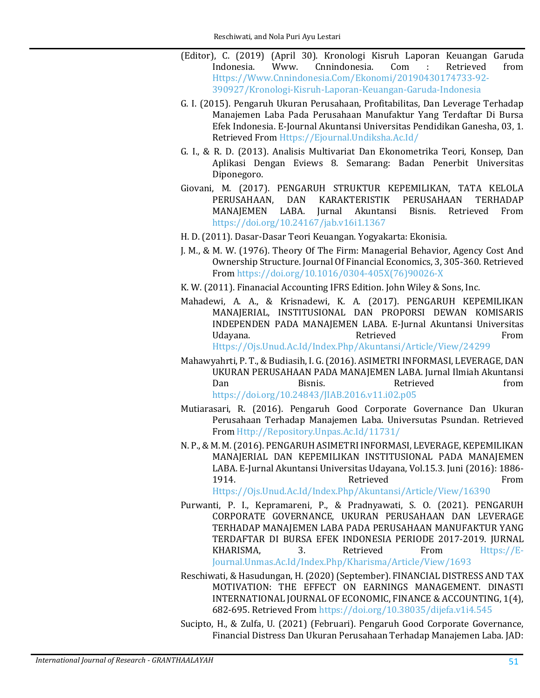- <span id="page-14-0"></span>(Editor), C. (2019) (April 30). Kronologi Kisruh Laporan Keuangan Garuda Indonesia. Www. Cnnindonesia. Com : Retrieved from [Https://Www.Cnnindonesia.Com/Ekonomi/20190430174733-92-](https://www.cnnindonesia.com/Ekonomi/20190430174733-92-390927/Kronologi-Kisruh-Laporan-Keuangan-Garuda-Indonesia) [390927/Kronologi-Kisruh-Laporan-Keuangan-Garuda-Indonesia](https://www.cnnindonesia.com/Ekonomi/20190430174733-92-390927/Kronologi-Kisruh-Laporan-Keuangan-Garuda-Indonesia)
- G. I. (2015). Pengaruh Ukuran Perusahaan, Profitabilitas, Dan Leverage Terhadap Manajemen Laba Pada Perusahaan Manufaktur Yang Terdaftar Di Bursa Efek Indonesia. E-Journal Akuntansi Universitas Pendidikan Ganesha, 03, 1. Retrieved From [Https://Ejournal.Undiksha.Ac.Id/](https://ejournal.undiksha.ac.id/)
- <span id="page-14-11"></span>G. I., & R. D. (2013). Analisis Multivariat Dan Ekonometrika Teori, Konsep, Dan Aplikasi Dengan Eviews 8. Semarang: Badan Penerbit Universitas Diponegoro.
- <span id="page-14-3"></span>Giovani, M. (2017). PENGARUH STRUKTUR KEPEMILIKAN, TATA KELOLA PERUSAHAAN, DAN KARAKTERISTIK PERUSAHAAN TERHADAP<br>MANAJEMEN LABA. Jurnal Akuntansi Bisnis. Retrieved From Bisnis. Retrieved <https://doi.org/10.24167/jab.v16i1.1367>
- <span id="page-14-8"></span>H. D. (2011). Dasar-Dasar Teori Keuangan. Yogyakarta: Ekonisia.
- <span id="page-14-6"></span>J. M., & M. W. (1976). Theory Of The Firm: Managerial Behavior, Agency Cost And Ownership Structure. Journal Of Financial Economics, 3, 305-360. Retrieved From [https://doi.org/10.1016/0304-405X\(76\)90026-X](https://doi.org/10.1016/0304-405X(76)90026-X)
- K. W. (2011). Finanacial Accounting IFRS Edition. John Wiley & Sons, Inc.
- <span id="page-14-10"></span><span id="page-14-4"></span>Mahadewi, A. A., & Krisnadewi, K. A. (2017). PENGARUH KEPEMILIKAN MANAJERIAL, INSTITUSIONAL DAN PROPORSI DEWAN KOMISARIS INDEPENDEN PADA MANAJEMEN LABA. E-Jurnal Akuntansi Universitas<br>From Udayana. Retrieved From

[Https://Ojs.Unud.Ac.Id/Index.Php/Akuntansi/Article/View/24299](https://ojs.unud.ac.id/Index.Php/Akuntansi/Article/View/24299)

- <span id="page-14-12"></span>Mahawyahrti, P. T., & Budiasih, I. G. (2016). ASIMETRI INFORMASI, LEVERAGE, DAN UKURAN PERUSAHAAN PADA MANAJEMEN LABA. Jurnal Ilmiah Akuntansi Dan Bisnis. Retrieved from <https://doi.org/10.24843/JIAB.2016.v11.i02.p05>
- <span id="page-14-1"></span>Mutiarasari, R. (2016). Pengaruh Good Corporate Governance Dan Ukuran Perusahaan Terhadap Manajemen Laba. Universutas Psundan. Retrieved From [Http://Repository.Unpas.Ac.Id/11731/](http://repository.unpas.ac.id/11731/)
- <span id="page-14-5"></span>N. P., & M. M. (2016). PENGARUH ASIMETRI INFORMASI, LEVERAGE, KEPEMILIKAN MANAJERIAL DAN KEPEMILIKAN INSTITUSIONAL PADA MANAJEMEN LABA. E-Jurnal Akuntansi Universitas Udayana, Vol.15.3. Juni (2016): 1886- 1914. From Retrieved From

[Https://Ojs.Unud.Ac.Id/Index.Php/Akuntansi/Article/View/16390](https://ojs.unud.ac.id/Index.Php/Akuntansi/Article/View/16390)

- <span id="page-14-2"></span>Purwanti, P. I., Kepramareni, P., & Pradnyawati, S. O. (2021). PENGARUH CORPORATE GOVERNANCE, UKURAN PERUSAHAAN DAN LEVERAGE TERHADAP MANAJEMEN LABA PADA PERUSAHAAN MANUFAKTUR YANG TERDAFTAR DI BURSA EFEK INDONESIA PERIODE 2017-2019. JURNAL KHARISMA, 3. Retrieved From [Https://E-](https://e-journal.unmas.ac.id/Index.Php/Kharisma/Article/View/1693)[Journal.Unmas.Ac.Id/Index.Php/Kharisma/Article/View/1693](https://e-journal.unmas.ac.id/Index.Php/Kharisma/Article/View/1693)
- <span id="page-14-7"></span>Reschiwati, & Hasudungan, H. (2020) (September). FINANCIAL DISTRESS AND TAX MOTIVATION: THE EFFECT ON EARNINGS MANAGEMENT. DINASTI INTERNATIONAL JOURNAL OF ECONOMIC, FINANCE & ACCOUNTING, 1(4), 682-695. Retrieved From<https://doi.org/10.38035/dijefa.v1i4.545>
- <span id="page-14-9"></span>Sucipto, H., & Zulfa, U. (2021) (Februari). Pengaruh Good Corporate Governance, Financial Distress Dan Ukuran Perusahaan Terhadap Manajemen Laba. JAD: